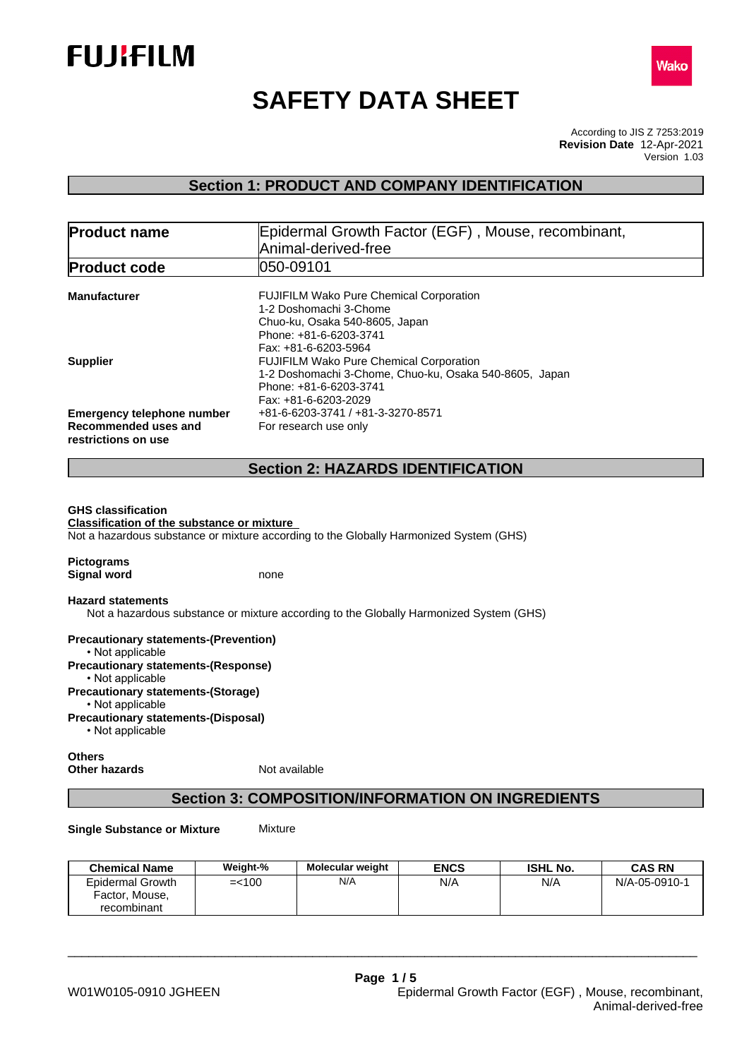



# **SAFETY DATA SHEET**

According to JIS Z 7253:2019 Version 1.03 **Revision Date** 12-Apr-2021

## **Section 1: PRODUCT AND COMPANY IDENTIFICATION**

| <b>Product name</b>                    | Epidermal Growth Factor (EGF), Mouse, recombinant,     |  |  |  |
|----------------------------------------|--------------------------------------------------------|--|--|--|
|                                        | Animal-derived-free                                    |  |  |  |
| <b>Product code</b>                    | 050-09101                                              |  |  |  |
| <b>Manufacturer</b>                    | <b>FUJIFILM Wako Pure Chemical Corporation</b>         |  |  |  |
|                                        | 1-2 Doshomachi 3-Chome                                 |  |  |  |
|                                        | Chuo-ku, Osaka 540-8605, Japan                         |  |  |  |
|                                        | Phone: +81-6-6203-3741                                 |  |  |  |
|                                        | Fax: +81-6-6203-5964                                   |  |  |  |
|                                        | <b>FUJIFILM Wako Pure Chemical Corporation</b>         |  |  |  |
|                                        | 1-2 Doshomachi 3-Chome, Chuo-ku, Osaka 540-8605, Japan |  |  |  |
|                                        | Phone: +81-6-6203-3741                                 |  |  |  |
|                                        | Fax: +81-6-6203-2029                                   |  |  |  |
| <b>Emergency telephone number</b>      | +81-6-6203-3741 / +81-3-3270-8571                      |  |  |  |
| Recommended uses and                   | For research use only                                  |  |  |  |
| <b>Supplier</b><br>restrictions on use |                                                        |  |  |  |

## **Section 2: HAZARDS IDENTIFICATION**

### **GHS classification**

**Classification of the substance or mixture** Not a hazardous substance or mixture according to the Globally Harmonized System (GHS)

| <b>Pictograms</b> |      |
|-------------------|------|
| Signal word       | none |

**Hazard statements**

Not a hazardous substance or mixture according to the Globally Harmonized System (GHS)

**Precautionary statements-(Prevention)** • Not applicable **Precautionary statements-(Response)** • Not applicable **Precautionary statements-(Storage)** • Not applicable **Precautionary statements-(Disposal)** • Not applicable

**Others Other hazards** Not available

## **Section 3: COMPOSITION/INFORMATION ON INGREDIENTS**

**Single Substance or Mixture** Mixture

| <b>Chemical Name</b>                              | Weight-%  | <b>Molecular weight</b> | <b>ENCS</b> | <b>ISHL No.</b> | <b>CAS RN</b> |
|---------------------------------------------------|-----------|-------------------------|-------------|-----------------|---------------|
| Epidermal Growth<br>Factor, Mouse,<br>recombinant | $=$ < 100 | N/A                     | N/A         | N/A             | N/A-05-0910-1 |

\_\_\_\_\_\_\_\_\_\_\_\_\_\_\_\_\_\_\_\_\_\_\_\_\_\_\_\_\_\_\_\_\_\_\_\_\_\_\_\_\_\_\_\_\_\_\_\_\_\_\_\_\_\_\_\_\_\_\_\_\_\_\_\_\_\_\_\_\_\_\_\_\_\_\_\_\_\_\_\_\_\_\_\_\_\_\_\_\_\_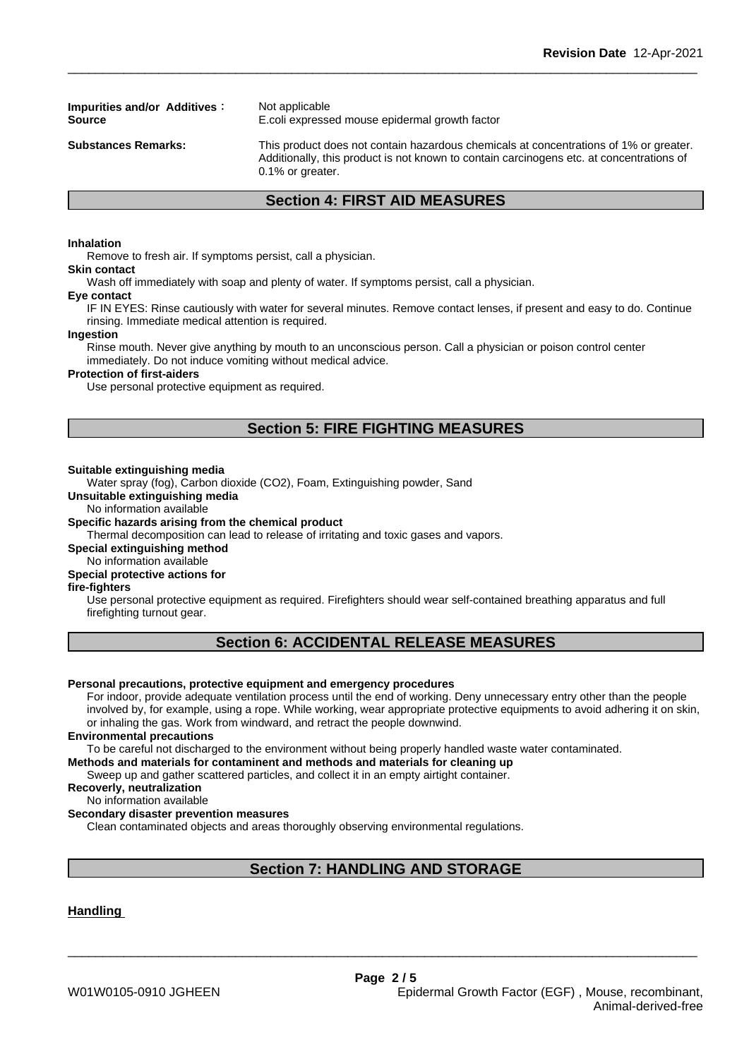**Impurities and/or Additives :** Not applicable

**Source** E.coli expressed mouse epidermal growth factor

**Substances Remarks:** This product does not contain hazardous chemicals at concentrations of 1% or greater. Additionally, this product is not known to contain carcinogens etc. at concentrations of 0.1% or greater.

## **Section 4: FIRST AID MEASURES**

#### **Inhalation**

Remove to fresh air. If symptoms persist, call a physician.

## **Skin contact**

Wash off immediately with soap and plenty of water. If symptoms persist, calla physician.

**Eye contact**

IF IN EYES: Rinse cautiously with water for several minutes. Remove contact lenses, if present and easy to do. Continue rinsing. Immediate medical attention is required.

#### **Ingestion**

Rinse mouth. Never give anything by mouth to an unconscious person. Call a physician or poison control center immediately. Do not induce vomiting without medical advice.

#### **Protection of first-aiders**

Use personal protective equipment as required.

## **Section 5: FIRE FIGHTING MEASURES**

#### **Suitable extinguishing media**

Water spray (fog), Carbon dioxide (CO2), Foam, Extinguishing powder, Sand

**Unsuitable extinguishing media**

No information available

#### **Specific hazards arising from the chemical product**

Thermal decomposition can lead to release of irritating and toxic gases and vapors.

**Special extinguishing method**

No information available

## **Special protective actions for**

## **fire-fighters**

Use personal protective equipment as required.Firefighters should wear self-contained breathing apparatus and full firefighting turnout gear.

## **Section 6: ACCIDENTAL RELEASE MEASURES**

#### **Personal precautions, protective equipment and emergency procedures**

For indoor, provide adequate ventilation process until the end of working. Deny unnecessary entry other than the people involved by, for example, using a rope. While working, wear appropriate protective equipments to avoid adhering it on skin, or inhaling the gas. Work from windward, and retract the people downwind.

#### **Environmental precautions**

To be careful not discharged to the environment without being properly handled waste water contaminated.

#### **Methods and materials for contaminent and methods and materials for cleaning up**

Sweep up and gather scattered particles, and collect it in an empty airtight container.

#### **Recoverly, neutralization**

No information available

#### **Secondary disaster prevention measures**

Clean contaminated objects and areas thoroughly observing environmental regulations.

## **Section 7: HANDLING AND STORAGE**

\_\_\_\_\_\_\_\_\_\_\_\_\_\_\_\_\_\_\_\_\_\_\_\_\_\_\_\_\_\_\_\_\_\_\_\_\_\_\_\_\_\_\_\_\_\_\_\_\_\_\_\_\_\_\_\_\_\_\_\_\_\_\_\_\_\_\_\_\_\_\_\_\_\_\_\_\_\_\_\_\_\_\_\_\_\_\_\_\_\_

### **Handling**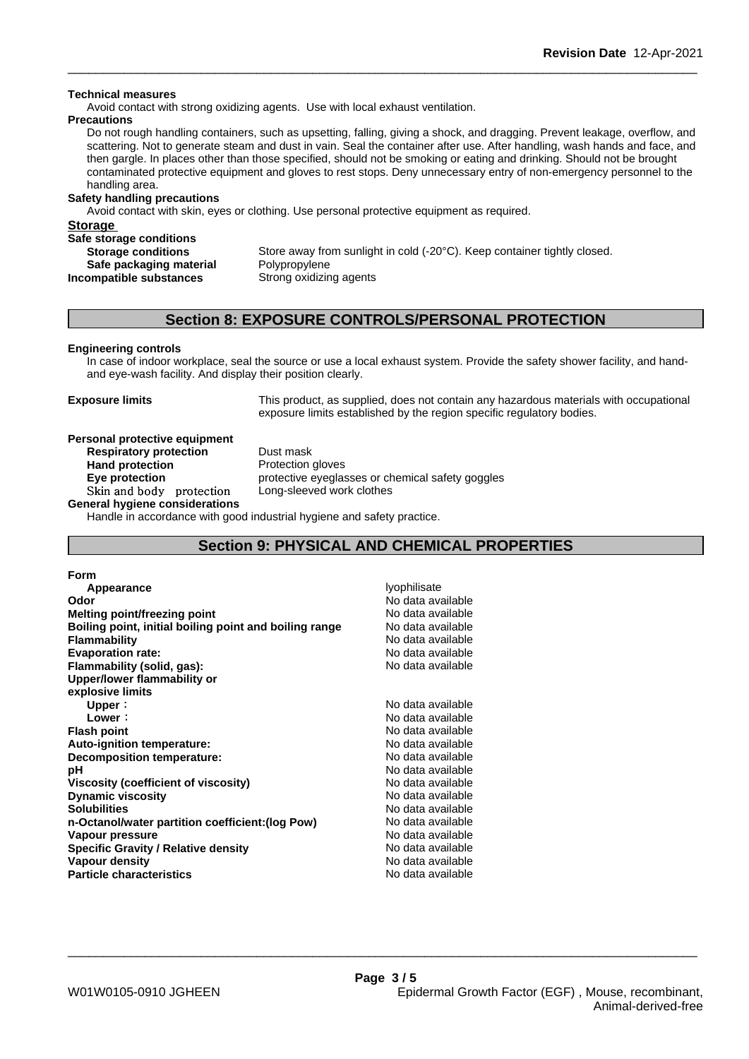#### **Technical measures**

Avoid contact with strong oxidizing agents. Use with local exhaust ventilation.

#### **Precautions**

Do not rough handling containers, such as upsetting, falling, giving a shock, and dragging. Prevent leakage, overflow, and scattering. Not to generate steam and dust in vain. Seal the container after use. After handling, wash hands and face, and then gargle. In places other than those specified, should not be smoking or eating and drinking. Should not be brought contaminated protective equipment and gloves to rest stops. Deny unnecessary entry of non-emergency personnel to the handling area.

## **Safety handling precautions**

Avoid contact with skin, eyes or clothing. Use personal protective equipment as required.

**Storage** 

| -------                   |                                                                          |
|---------------------------|--------------------------------------------------------------------------|
| Safe storage conditions   |                                                                          |
| <b>Storage conditions</b> | Store away from sunlight in cold (-20°C). Keep container tightly closed. |
| Safe packaging material   | Polypropylene                                                            |
| Incompatible substances   | Strong oxidizing agents                                                  |
|                           |                                                                          |

## **Section 8: EXPOSURE CONTROLS/PERSONAL PROTECTION**

#### **Engineering controls**

In case of indoor workplace, seal the source or use a local exhaust system. Provide the safety shower facility, and handand eye-wash facility. And display their position clearly.

**Exposure limits** This product, as supplied, does not contain any hazardous materials with occupational exposure limits established by the region specific regulatory bodies.

**Personal protective equipment Respiratory protection** Dust mask **Hand protection** Protection gloves

**Eye protection Eye protective** eyeglasses or chemical safety goggles **Skinandbody protection** Long-sleeved work clothes

**General hygiene considerations** Handle in accordance with good industrial hygiene and safety practice.

## **Section 9: PHYSICAL AND CHEMICAL PROPERTIES**

| <b>Form</b>                                            |                                   |
|--------------------------------------------------------|-----------------------------------|
| Appearance                                             | <i><u><b>lyophilisate</b></u></i> |
| Odor                                                   | No data available                 |
| Melting point/freezing point                           | No data available                 |
| Boiling point, initial boiling point and boiling range | No data available                 |
| <b>Flammability</b>                                    | No data available                 |
| <b>Evaporation rate:</b>                               | No data available                 |
| Flammability (solid, gas):                             | No data available                 |
| Upper/lower flammability or                            |                                   |
| explosive limits                                       |                                   |
| Upper:                                                 | No data available                 |
| Lower:                                                 | No data available                 |
| <b>Flash point</b>                                     | No data available                 |
| Auto-ignition temperature:                             | No data available                 |
| Decomposition temperature:                             | No data available                 |
| рH                                                     | No data available                 |
| Viscosity (coefficient of viscosity)                   | No data available                 |
| <b>Dynamic viscosity</b>                               | No data available                 |
| <b>Solubilities</b>                                    | No data available                 |
| n-Octanol/water partition coefficient: (log Pow)       | No data available                 |
| Vapour pressure                                        | No data available                 |
| <b>Specific Gravity / Relative density</b>             | No data available                 |
| Vapour density                                         | No data available                 |
| <b>Particle characteristics</b>                        | No data available                 |

\_\_\_\_\_\_\_\_\_\_\_\_\_\_\_\_\_\_\_\_\_\_\_\_\_\_\_\_\_\_\_\_\_\_\_\_\_\_\_\_\_\_\_\_\_\_\_\_\_\_\_\_\_\_\_\_\_\_\_\_\_\_\_\_\_\_\_\_\_\_\_\_\_\_\_\_\_\_\_\_\_\_\_\_\_\_\_\_\_\_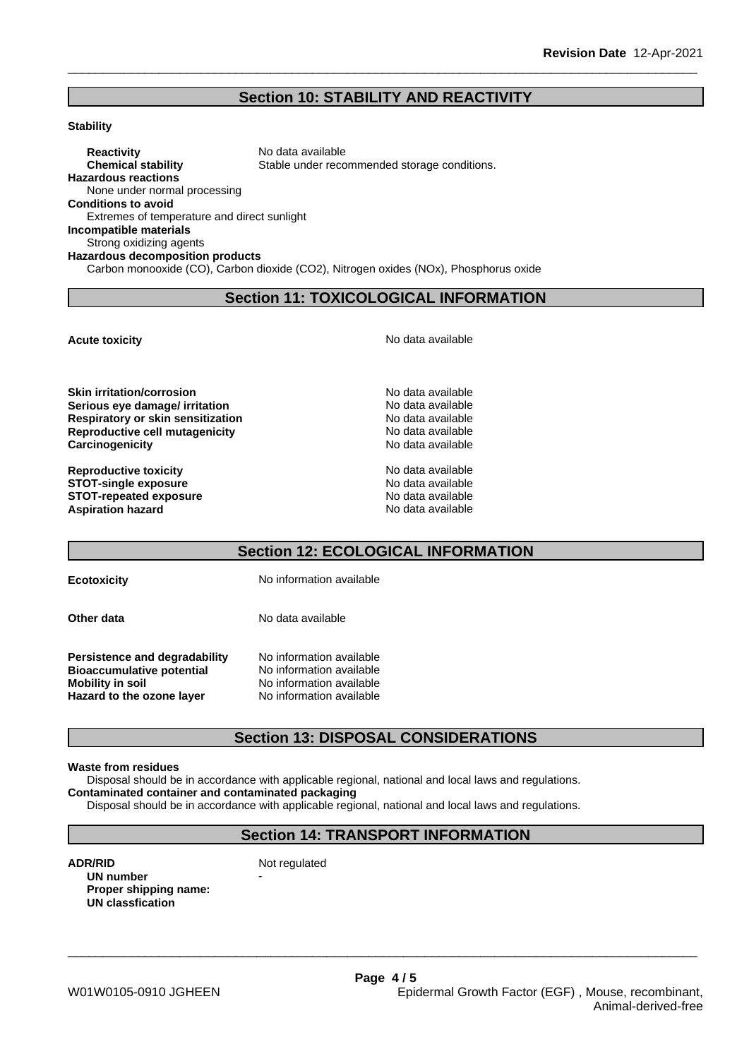## **Section 10: STABILITY AND REACTIVITY**

#### **Stability**

**Reactivity** No data available **Chemical stability** Stable under recommended storage conditions. **Hazardous reactions** None under normal processing **Conditions to avoid** Extremes of temperature and direct sunlight **Incompatible materials** Strong oxidizing agents **Hazardous decomposition products** Carbon monooxide (CO), Carbon dioxide (CO2), Nitrogen oxides (NOx), Phosphorus oxide

## **Section 11: TOXICOLOGICAL INFORMATION**

**Acute toxicity Acute toxicity Acute has a structure in the structure of**  $\mathbb{R}^n$  **No data available** 

**Serious eye damage/ irritation**<br> **Respiratory or skin sensitization**<br> **Respiratory or skin sensitization**<br> **Respiratory of skin sensitization Respiratory or skin sensitization Reproductive cell mutagenicity** No data available **Carcinogenicity Carcinogenicity No data available** 

**Reproductive toxicity**  $\qquad \qquad \qquad$  No data available **STOT-single exposure**<br> **STOT-repeated exposure**<br> **STOT-repeated exposure STOT-repeated exposure**<br> **Aspiration hazard**<br> **Aspiration hazard**<br> **Aspiration hazard Aspiration hazard** 

## **Section 12: ECOLOGICAL INFORMATION**

**Ecotoxicity** No information available

**Other data** No data available

**Persistence and degradability** No information available **Bioaccumulative potential** No information available **Mobility in soil**<br> **Hazard to the ozone laver** Mo information available<br>
No information available **Hazard** to the ozone layer

## **Section 13: DISPOSAL CONSIDERATIONS**

#### **Waste from residues**

Disposal should be in accordance with applicable regional, national and local laws and regulations. **Contaminated container and contaminated packaging**

Disposal should be in accordance with applicable regional, national and local laws and regulations.

## **Section 14: TRANSPORT INFORMATION**

\_\_\_\_\_\_\_\_\_\_\_\_\_\_\_\_\_\_\_\_\_\_\_\_\_\_\_\_\_\_\_\_\_\_\_\_\_\_\_\_\_\_\_\_\_\_\_\_\_\_\_\_\_\_\_\_\_\_\_\_\_\_\_\_\_\_\_\_\_\_\_\_\_\_\_\_\_\_\_\_\_\_\_\_\_\_\_\_\_\_

**ADR/RID** Not regulated **UN number Proper shipping name: UN classfication**

**Skin irritation/corrosion** No data available